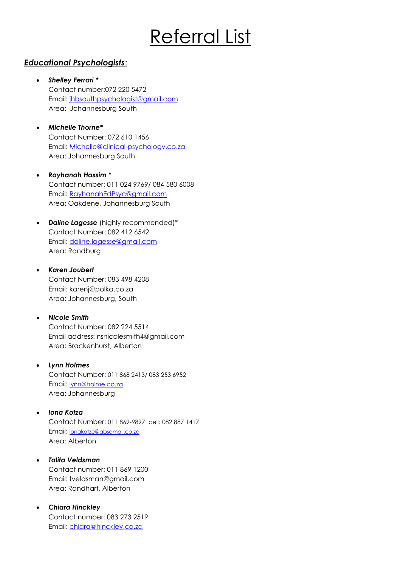# Referral List

# *Educational Psychologists*:

- *Shelley Ferrari \** Contact number:072 220 5472 Email: [jhbsouthpsychologist@gmail.com](mailto:jhbsouthpsychologist@gmail.com) Area: Johannesburg South
- *Michelle Thorne\** Contact Number: 072 610 1456 Email: [Michelle@clinical-psychology.co.za](mailto:Michelle@clinical-psychology.co.za) Area: Johannesburg South
- *Rayhanah Hassim \** Contact number: 011 024 9769/ 084 580 6008 Email: [RayhanahEdPsyc@gmail.com](mailto:RayhanahEdPsyc@gmail.com) Area: Oakdene, Johannesburg South
- *Daline Lagesse* (highly recommended)\* Contact Number: 082 412 6542 Email: [daline.lagesse@gmail.com](mailto:daline.lagesse@gmail.com) Area: Randburg
- *Karen Joubert*  Contact Number: 083 498 4208 Email: karenj@polka.co.za Area: Johannesburg, South

#### • *Nicole Smith*

Contact Number: 082 224 5514 Email address: nsnicolesmith4@gmail.com Area: Brackenhurst, Alberton

• *Lynn Holmes* 

Contact Number: 011 868 2413/ 083 253 6952 Email: [lynn@holme.co.za](mailto:lynn@holme.co.za) Area: Johannesburg

• *Iona Kotza* 

Contact Number: 011 869-9897 cell: 082 887 1417 Email: [ionakotze@absamail.co.za](mailto:ionakotze@absamail.co.za) Area: Alberton

• *Talita Veldsman*

Contact number: 011 869 1200 Email: tveldsman@gmail.com Area: Randhart, Alberton

• *Chiara Hinckley* 

Contact number: 083 273 2519 Email: [chiara@hinckley.co.za](mailto:chiara@hinckley.co.za)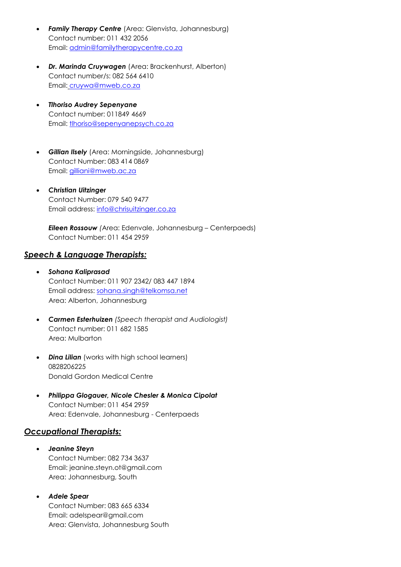- **Family Therapy Centre** (Area: Glenvista, Johannesburg) Contact number: 011 432 2056 Email: [admin@familytherapycentre.co.za](mailto:admin@familytherapycentre.co.za)
- *Dr. Marinda Cruywagen* (Area: Brackenhurst, Alberton) Contact number/s: 082 564 6410 Email: cruywa@mweb.co.za
- *Tlhoriso Audrey Sepenyane* Contact number: 011849 4669 Email: [tlhoriso@sepenyanepsych.co.za](mailto:tlhoriso@sepenyanepsych.co.za)
- *Gillian Ilsely* (Area: Morningside, Johannesburg) Contact Number: 083 414 0869 Email: *gilliani@mweb.ac.za*
- *Christian Uitzinger*  Contact Number: 079 540 9477 Email address: [info@chrisuitzinger.co.za](mailto:info@chrisuitzinger.co.za)

*Eileen Rossouw (*Area: Edenvale, Johannesburg – Centerpaeds) Contact Number: 011 454 2959

#### *Speech & Language Therapists:*

- *Sohana Kaliprasad*  Contact Number: 011 907 2342/ 083 447 1894 Email address: [sohana.singh@telkomsa.net](mailto:sohana.singh@telkomsa.net) Area: Alberton, Johannesburg
- *Carmen Esterhuizen (Speech therapist and Audiologist)* Contact number: 011 682 1585 Area: Mulbarton
- **Dina Lilian** (works with high school learners) 0828206225 Donald Gordon Medical Centre
- *Philippa Glogauer, Nicole Chesler & Monica Cipolat* Contact Number: 011 454 2959 Area: Edenvale, Johannesburg - Centerpaeds

## *Occupational Therapists:*

- *Jeanine Steyn* Contact Number: 082 734 3637 Email: jeanine.steyn.ot@gmail.com Area: Johannesburg, South
- *Adele Spear*  Contact Number: 083 665 6334

Email: adelspear@gmail.com Area: Glenvista, Johannesburg South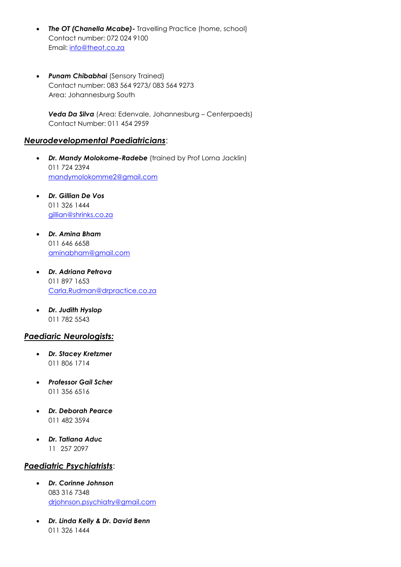- *The OT (Chanella Mcabe)-* Travelling Practice (home, school) Contact number: 072 024 9100 Email: [info@theot.co.za](mailto:info@theot.co.za)
- *Punam Chibabhai* (Sensory Trained) Contact number: 083 564 9273/ 083 564 9273 Area: Johannesburg South

*Veda Da Silva* (Area: Edenvale, Johannesburg – Centerpaeds) Contact Number: 011 454 2959

#### *Neurodevelopmental Paediatricians*:

- *Dr. Mandy Molokome-Radebe* (trained by Prof Lorna Jacklin) 011 724 2394 [mandymolokomme2@gmail.com](mailto:mandymolokomme2@gmail.com)
- *Dr. Gillian De Vos* 011 326 1444 [gillian@shrinks.co.za](mailto:gillian@shrinks.co.za)
- *Dr. Amina Bham* 011 646 6658 [aminabham@gmail.com](mailto:aminabham@gmail.com)
- *Dr. Adriana Petrova* 011 897 1653 [Carla.Rudman@drpractice.co.za](mailto:Carla.Rudman@drpractice.co.za)
- *Dr. Judith Hyslop* 011 782 5543

## *Paediaric Neurologists:*

- *Dr. Stacey Kretzmer* 011 806 1714
- *Professor Gail Scher* 011 356 6516
- *Dr. Deborah Pearce* 011 482 3594
- *Dr. Tatiana Aduc* 11 257 2097

## *Paediatric Psychiatrists*:

- *Dr. Corinne Johnson* 083 316 7348 [drjohnson.psychiatry@gmail.com](mailto:drjohnson.psychiatry@gmail.com)
- *Dr. Linda Kelly & Dr. David Benn*  011 326 1444